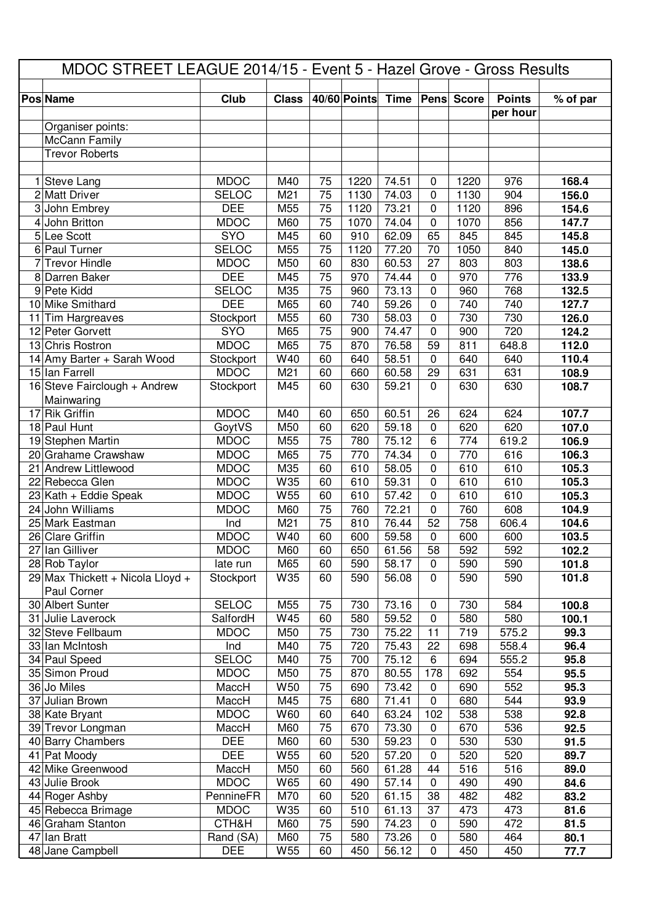| MDOC STREET LEAGUE 2014/15 - Event 5 - Hazel Grove - Gross Results |                                       |                             |              |          |              |                |                            |                   |               |                |
|--------------------------------------------------------------------|---------------------------------------|-----------------------------|--------------|----------|--------------|----------------|----------------------------|-------------------|---------------|----------------|
|                                                                    | <b>Pos Name</b>                       | Club                        | <b>Class</b> |          | 40/60 Points | <b>Time</b>    |                            | <b>Pens Score</b> | <b>Points</b> | % of par       |
|                                                                    |                                       |                             |              |          |              |                |                            |                   | per hour      |                |
|                                                                    | Organiser points:                     |                             |              |          |              |                |                            |                   |               |                |
|                                                                    | McCann Family                         |                             |              |          |              |                |                            |                   |               |                |
|                                                                    | <b>Trevor Roberts</b>                 |                             |              |          |              |                |                            |                   |               |                |
|                                                                    |                                       |                             |              |          |              |                |                            |                   |               |                |
|                                                                    | 1 Steve Lang                          | <b>MDOC</b>                 | M40          | 75       | 1220         | 74.51          | $\mathbf 0$                | 1220              | 976           | 168.4          |
|                                                                    | 2 Matt Driver                         | <b>SELOC</b>                | M21          | 75       | 1130         | 74.03          | 0                          | 1130              | 904           | 156.0          |
|                                                                    | 3 John Embrey                         | <b>DEE</b>                  | M55          | 75       | 1120         | 73.21          | $\mathbf 0$                | 1120              | 896           | 154.6          |
|                                                                    | 4 John Britton                        | <b>MDOC</b>                 | M60          | 75       | 1070         | 74.04          | $\mathbf 0$                | 1070              | 856           | 147.7          |
|                                                                    | 5 Lee Scott                           | <b>SYO</b>                  | M45          | 60       | 910          | 62.09          | 65                         | 845               | 845           | 145.8          |
| 7                                                                  | 6 Paul Turner<br><b>Trevor Hindle</b> | <b>SELOC</b><br><b>MDOC</b> | M55<br>M50   | 75<br>60 | 1120<br>830  | 77.20<br>60.53 | 70<br>27                   | 1050<br>803       | 840<br>803    | 145.0          |
|                                                                    | 8 Darren Baker                        | <b>DEE</b>                  | M45          | 75       | 970          | 74.44          | $\mathbf 0$                | 970               | 776           | 138.6<br>133.9 |
|                                                                    | 9 Pete Kidd                           | <b>SELOC</b>                | M35          | 75       | 960          | 73.13          | $\mathbf 0$                | 960               | 768           | 132.5          |
|                                                                    | 10 Mike Smithard                      | <b>DEE</b>                  | M65          | 60       | 740          | 59.26          | $\mathbf 0$                | 740               | 740           | 127.7          |
| 11                                                                 | Tim Hargreaves                        | Stockport                   | M55          | 60       | 730          | 58.03          | $\mathbf 0$                | 730               | 730           | 126.0          |
|                                                                    | 12 Peter Gorvett                      | SYO                         | M65          | 75       | 900          | 74.47          | $\mathbf 0$                | 900               | 720           | 124.2          |
|                                                                    | 13 Chris Rostron                      | <b>MDOC</b>                 | M65          | 75       | 870          | 76.58          | 59                         | 811               | 648.8         | 112.0          |
|                                                                    | 14 Amy Barter + Sarah Wood            | Stockport                   | W40          | 60       | 640          | 58.51          | $\mathbf 0$                | 640               | 640           | 110.4          |
|                                                                    | 15 Ian Farrell                        | <b>MDOC</b>                 | M21          | 60       | 660          | 60.58          | 29                         | 631               | 631           | 108.9          |
|                                                                    | 16 Steve Fairclough + Andrew          | Stockport                   | M45          | 60       | 630          | 59.21          | $\overline{0}$             | 630               | 630           | 108.7          |
|                                                                    | Mainwaring                            |                             |              |          |              |                |                            |                   |               |                |
|                                                                    | 17 Rik Griffin                        | <b>MDOC</b>                 | M40          | 60       | 650          | 60.51          | 26                         | 624               | 624           | 107.7          |
|                                                                    | 18 Paul Hunt                          | GoytVS                      | M50          | 60       | 620          | 59.18          | $\mathbf 0$                | 620               | 620           | 107.0          |
|                                                                    | 19 Stephen Martin                     | <b>MDOC</b>                 | M55          | 75       | 780          | 75.12          | $6\phantom{1}6$            | 774               | 619.2         | 106.9          |
|                                                                    | 20 Grahame Crawshaw                   | <b>MDOC</b>                 | M65          | 75       | 770          | 74.34          | $\mathbf 0$                | 770               | 616           | 106.3          |
|                                                                    | 21 Andrew Littlewood                  | <b>MDOC</b>                 | M35          | 60       | 610          | 58.05          | $\mathbf 0$                | 610               | 610           | 105.3          |
|                                                                    | 22 Rebecca Glen                       | <b>MDOC</b>                 | W35          | 60       | 610          | 59.31          | $\mathbf 0$                | 610               | 610           | 105.3          |
|                                                                    | $23$ Kath + Eddie Speak               | <b>MDOC</b>                 | W55          | 60       | 610          | 57.42          | $\mathbf 0$                | 610               | 610           | 105.3          |
|                                                                    | 24 John Williams                      | <b>MDOC</b>                 | M60          | 75       | 760          | 72.21          | $\mathbf 0$                | 760               | 608           | 104.9          |
|                                                                    | 25 Mark Eastman<br>26 Clare Griffin   | Ind<br><b>MDOC</b>          | M21<br>W40   | 75<br>60 | 810<br>600   | 76.44<br>59.58 | 52<br>$\mathbf 0$          | 758<br>600        | 606.4<br>600  | 104.6<br>103.5 |
|                                                                    | 27 Ian Gilliver                       | <b>MDOC</b>                 | M60          | 60       | 650          | 61.56          | 58                         | 592               | 592           | 102.2          |
|                                                                    | 28 Rob Taylor                         | late run                    | M65          | 60       | 590          | 58.17          | $\mathbf 0$                | 590               | 590           | 101.8          |
|                                                                    | 29 Max Thickett + Nicola Lloyd +      | Stockport                   | W35          | 60       | 590          | 56.08          | $\mathbf 0$                | 590               | 590           | 101.8          |
|                                                                    | Paul Corner                           |                             |              |          |              |                |                            |                   |               |                |
|                                                                    | 30 Albert Sunter                      | <b>SELOC</b>                | M55          | 75       | 730          | 73.16          | $\boldsymbol{0}$           | 730               | 584           | 100.8          |
|                                                                    | 31 Julie Laverock                     | SalfordH                    | W45          | 60       | 580          | 59.52          | $\mathbf 0$                | 580               | 580           | 100.1          |
|                                                                    | 32 Steve Fellbaum                     | <b>MDOC</b>                 | M50          | 75       | 730          | 75.22          | 11                         | 719               | 575.2         | 99.3           |
|                                                                    | 33 Ian McIntosh                       | Ind                         | M40          | 75       | 720          | 75.43          | 22                         | 698               | 558.4         | 96.4           |
|                                                                    | 34 Paul Speed                         | <b>SELOC</b>                | M40          | 75       | 700          | 75.12          | 6                          | 694               | 555.2         | 95.8           |
|                                                                    | 35 Simon Proud                        | <b>MDOC</b>                 | M50          | 75       | 870          | 80.55          | 178                        | 692               | 554           | 95.5           |
|                                                                    | 36 Jo Miles                           | MaccH                       | W50          | 75       | 690          | 73.42          | $\mathbf 0$                | 690               | 552           | 95.3           |
|                                                                    | 37 Julian Brown                       | MaccH                       | M45          | 75       | 680          | 71.41          | $\mathbf 0$                | 680               | 544           | 93.9           |
|                                                                    | 38 Kate Bryant                        | <b>MDOC</b>                 | W60          | 60       | 640          | 63.24          | 102                        | 538               | 538           | 92.8           |
|                                                                    | 39 Trevor Longman                     | MaccH                       | M60          | 75       | 670          | 73.30          | $\mathbf 0$                | 670               | 536           | 92.5           |
|                                                                    | 40 Barry Chambers<br>41 Pat Moody     | <b>DEE</b><br><b>DEE</b>    | M60<br>W55   | 60<br>60 | 530<br>520   | 59.23<br>57.20 | $\mathbf 0$<br>$\mathbf 0$ | 530<br>520        | 530<br>520    | 91.5<br>89.7   |
|                                                                    | 42 Mike Greenwood                     | MaccH                       | M50          | 60       | 560          | 61.28          | 44                         | 516               | 516           | 89.0           |
|                                                                    | 43 Julie Brook                        | <b>MDOC</b>                 | W65          | 60       | 490          | 57.14          | $\mathbf 0$                | 490               | 490           | 84.6           |
|                                                                    | 44 Roger Ashby                        | PennineFR                   | M70          | 60       | 520          | 61.15          | 38                         | 482               | 482           | 83.2           |
|                                                                    | 45 Rebecca Brimage                    | <b>MDOC</b>                 | W35          | 60       | 510          | 61.13          | 37                         | 473               | 473           | 81.6           |
|                                                                    | 46 Graham Stanton                     | CTH&H                       | M60          | 75       | 590          | 74.23          | $\boldsymbol{0}$           | 590               | 472           | 81.5           |
|                                                                    | 47 Ian Bratt                          | Rand (SA)                   | M60          | 75       | 580          | 73.26          | $\mathbf 0$                | 580               | 464           | 80.1           |
|                                                                    | 48 Jane Campbell                      | <b>DEE</b>                  | W55          | 60       | 450          | 56.12          | $\mathbf 0$                | 450               | 450           | 77.7           |